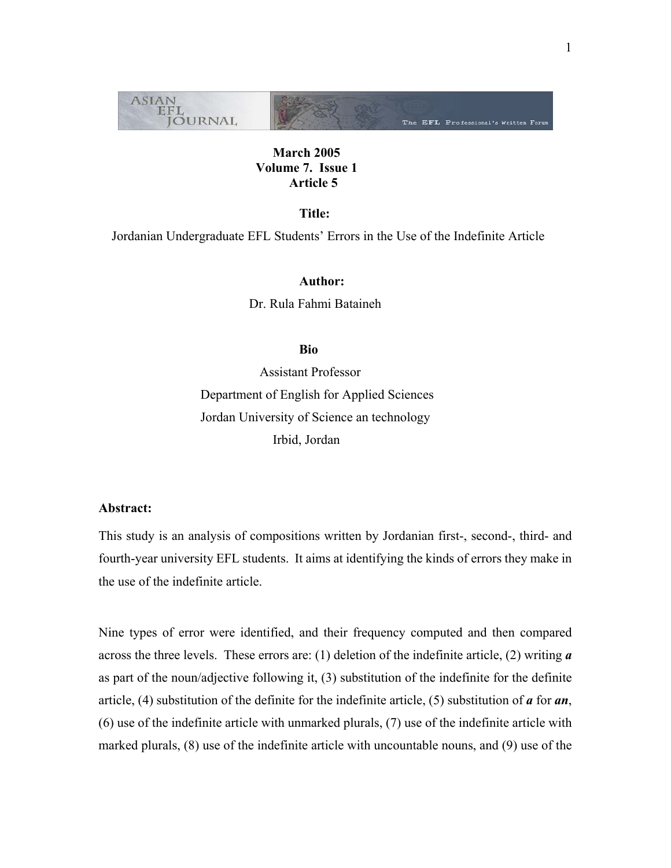

# **March 2005 Volume 7. Issue 1 Article 5**

 **Title:** 

Jordanian Undergraduate EFL Students' Errors in the Use of the Indefinite Article

 **Author:**  Dr. Rula Fahmi Bataineh

# **Bio** Bio

 Assistant Professor Department of English for Applied Sciences Jordan University of Science an technology Irbid, Jordan

# **Abstract:**

This study is an analysis of compositions written by Jordanian first-, second-, third- and fourth-year university EFL students. It aims at identifying the kinds of errors they make in the use of the indefinite article.

Nine types of error were identified, and their frequency computed and then compared across the three levels. These errors are: (1) deletion of the indefinite article, (2) writing *a* as part of the noun/adjective following it, (3) substitution of the indefinite for the definite article, (4) substitution of the definite for the indefinite article, (5) substitution of *a* for *an*, (6) use of the indefinite article with unmarked plurals, (7) use of the indefinite article with marked plurals, (8) use of the indefinite article with uncountable nouns, and (9) use of the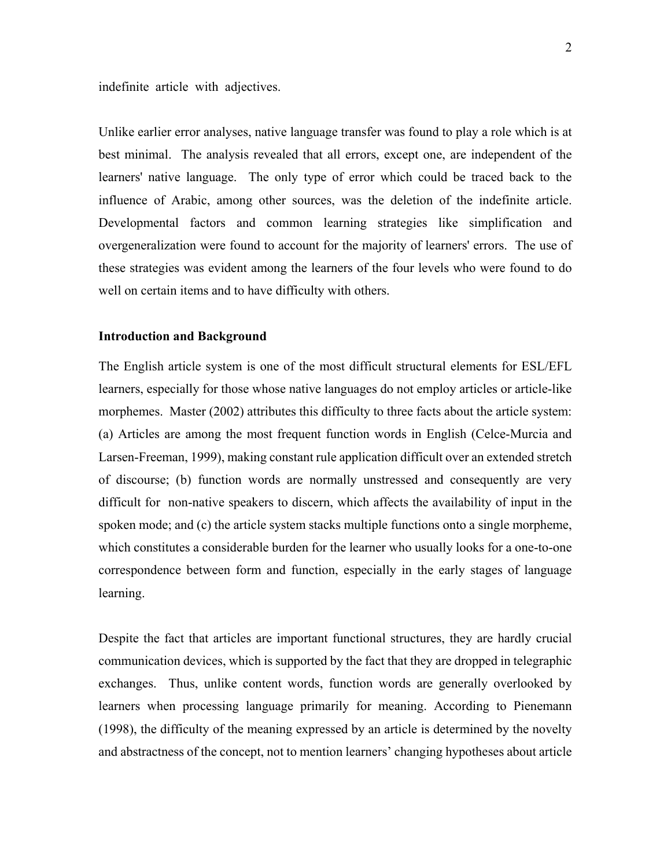indefinite article with adjectives.

Unlike earlier error analyses, native language transfer was found to play a role which is at best minimal. The analysis revealed that all errors, except one, are independent of the learners' native language. The only type of error which could be traced back to the influence of Arabic, among other sources, was the deletion of the indefinite article. Developmental factors and common learning strategies like simplification and overgeneralization were found to account for the majority of learners' errors. The use of these strategies was evident among the learners of the four levels who were found to do well on certain items and to have difficulty with others.

#### **Introduction and Background**

The English article system is one of the most difficult structural elements for ESL/EFL learners, especially for those whose native languages do not employ articles or article-like morphemes. Master (2002) attributes this difficulty to three facts about the article system: (a) Articles are among the most frequent function words in English (Celce-Murcia and Larsen-Freeman, 1999), making constant rule application difficult over an extended stretch of discourse; (b) function words are normally unstressed and consequently are very difficult for non-native speakers to discern, which affects the availability of input in the spoken mode; and (c) the article system stacks multiple functions onto a single morpheme, which constitutes a considerable burden for the learner who usually looks for a one-to-one correspondence between form and function, especially in the early stages of language learning.

Despite the fact that articles are important functional structures, they are hardly crucial communication devices, which is supported by the fact that they are dropped in telegraphic exchanges. Thus, unlike content words, function words are generally overlooked by learners when processing language primarily for meaning. According to Pienemann (1998), the difficulty of the meaning expressed by an article is determined by the novelty and abstractness of the concept, not to mention learners' changing hypotheses about article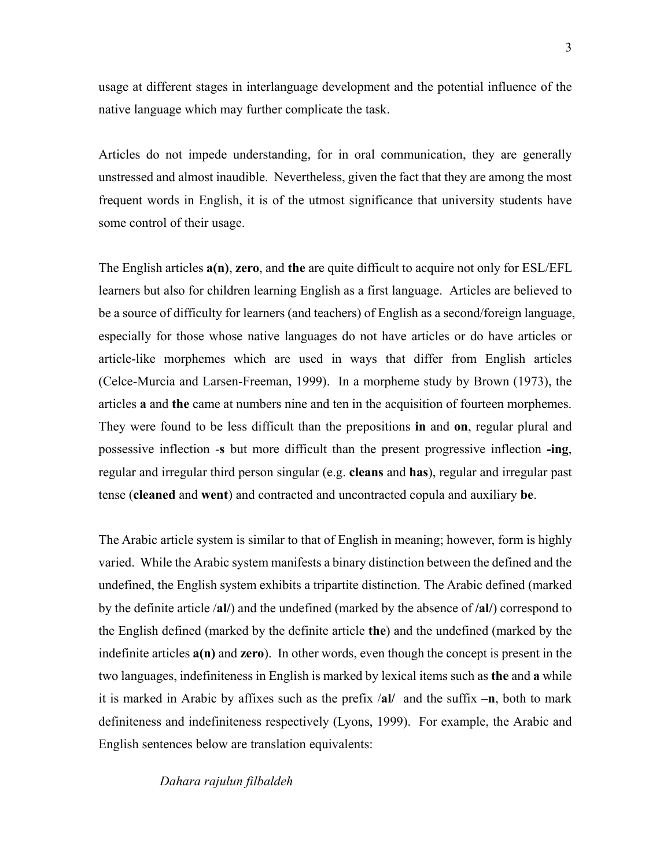usage at different stages in interlanguage development and the potential influence of the native language which may further complicate the task.

Articles do not impede understanding, for in oral communication, they are generally unstressed and almost inaudible. Nevertheless, given the fact that they are among the most frequent words in English, it is of the utmost significance that university students have some control of their usage.

The English articles **a(n)**, **zero**, and **the** are quite difficult to acquire not only for ESL/EFL learners but also for children learning English as a first language. Articles are believed to be a source of difficulty for learners (and teachers) of English as a second/foreign language, especially for those whose native languages do not have articles or do have articles or article-like morphemes which are used in ways that differ from English articles (Celce-Murcia and Larsen-Freeman, 1999). In a morpheme study by Brown (1973), the articles **a** and **the** came at numbers nine and ten in the acquisition of fourteen morphemes. They were found to be less difficult than the prepositions **in** and **on**, regular plural and possessive inflection -**s** but more difficult than the present progressive inflection **-ing**, regular and irregular third person singular (e.g. **cleans** and **has**), regular and irregular past tense (**cleaned** and **went**) and contracted and uncontracted copula and auxiliary **be**.

The Arabic article system is similar to that of English in meaning; however, form is highly varied. While the Arabic system manifests a binary distinction between the defined and the undefined, the English system exhibits a tripartite distinction. The Arabic defined (marked by the definite article /**al/**) and the undefined (marked by the absence of **/al/**) correspond to the English defined (marked by the definite article **the**) and the undefined (marked by the indefinite articles **a(n)** and **zero**). In other words, even though the concept is present in the two languages, indefiniteness in English is marked by lexical items such as **the** and **a** while it is marked in Arabic by affixes such as the prefix /**al/** and the suffix **–n**, both to mark definiteness and indefiniteness respectively (Lyons, 1999). For example, the Arabic and English sentences below are translation equivalents:

*Dahara rajulun filbaldeh*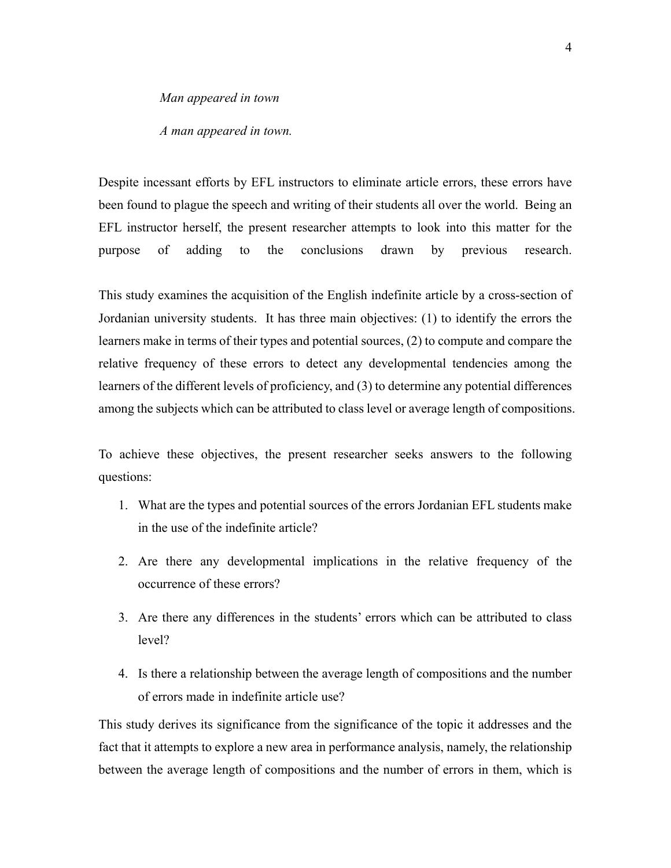*Man appeared in town* 

*A man appeared in town.* 

Despite incessant efforts by EFL instructors to eliminate article errors, these errors have been found to plague the speech and writing of their students all over the world. Being an EFL instructor herself, the present researcher attempts to look into this matter for the purpose of adding to the conclusions drawn by previous research.

This study examines the acquisition of the English indefinite article by a cross-section of Jordanian university students. It has three main objectives: (1) to identify the errors the learners make in terms of their types and potential sources, (2) to compute and compare the relative frequency of these errors to detect any developmental tendencies among the learners of the different levels of proficiency, and (3) to determine any potential differences among the subjects which can be attributed to class level or average length of compositions.

To achieve these objectives, the present researcher seeks answers to the following questions:

- 1. What are the types and potential sources of the errors Jordanian EFL students make in the use of the indefinite article?
- 2. Are there any developmental implications in the relative frequency of the occurrence of these errors?
- 3. Are there any differences in the students' errors which can be attributed to class level?
- 4. Is there a relationship between the average length of compositions and the number of errors made in indefinite article use?

This study derives its significance from the significance of the topic it addresses and the fact that it attempts to explore a new area in performance analysis, namely, the relationship between the average length of compositions and the number of errors in them, which is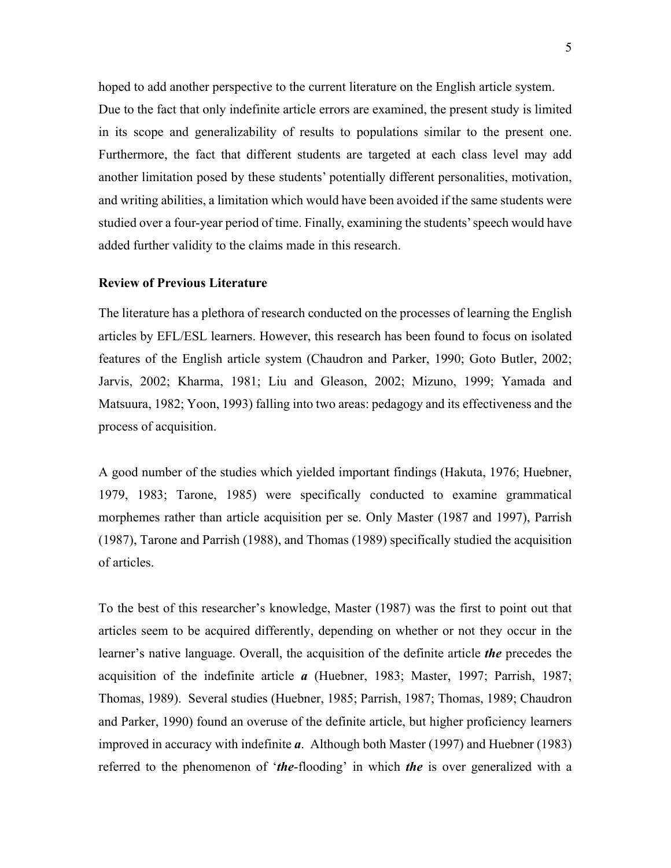hoped to add another perspective to the current literature on the English article system. Due to the fact that only indefinite article errors are examined, the present study is limited in its scope and generalizability of results to populations similar to the present one. Furthermore, the fact that different students are targeted at each class level may add another limitation posed by these students' potentially different personalities, motivation, and writing abilities, a limitation which would have been avoided if the same students were studied over a four-year period of time. Finally, examining the students' speech would have added further validity to the claims made in this research.

# **Review of Previous Literature**

The literature has a plethora of research conducted on the processes of learning the English articles by EFL/ESL learners. However, this research has been found to focus on isolated features of the English article system (Chaudron and Parker, 1990; Goto Butler, 2002; Jarvis, 2002; Kharma, 1981; Liu and Gleason, 2002; Mizuno, 1999; Yamada and Matsuura, 1982; Yoon, 1993) falling into two areas: pedagogy and its effectiveness and the process of acquisition.

A good number of the studies which yielded important findings (Hakuta, 1976; Huebner, 1979, 1983; Tarone, 1985) were specifically conducted to examine grammatical morphemes rather than article acquisition per se. Only Master (1987 and 1997), Parrish (1987), Tarone and Parrish (1988), and Thomas (1989) specifically studied the acquisition of articles.

To the best of this researcher's knowledge, Master (1987) was the first to point out that articles seem to be acquired differently, depending on whether or not they occur in the learner's native language. Overall, the acquisition of the definite article *the* precedes the acquisition of the indefinite article *a* (Huebner, 1983; Master, 1997; Parrish, 1987; Thomas, 1989). Several studies (Huebner, 1985; Parrish, 1987; Thomas, 1989; Chaudron and Parker, 1990) found an overuse of the definite article, but higher proficiency learners improved in accuracy with indefinite *a*. Although both Master (1997) and Huebner (1983) referred to the phenomenon of '*the*-flooding' in which *the* is over generalized with a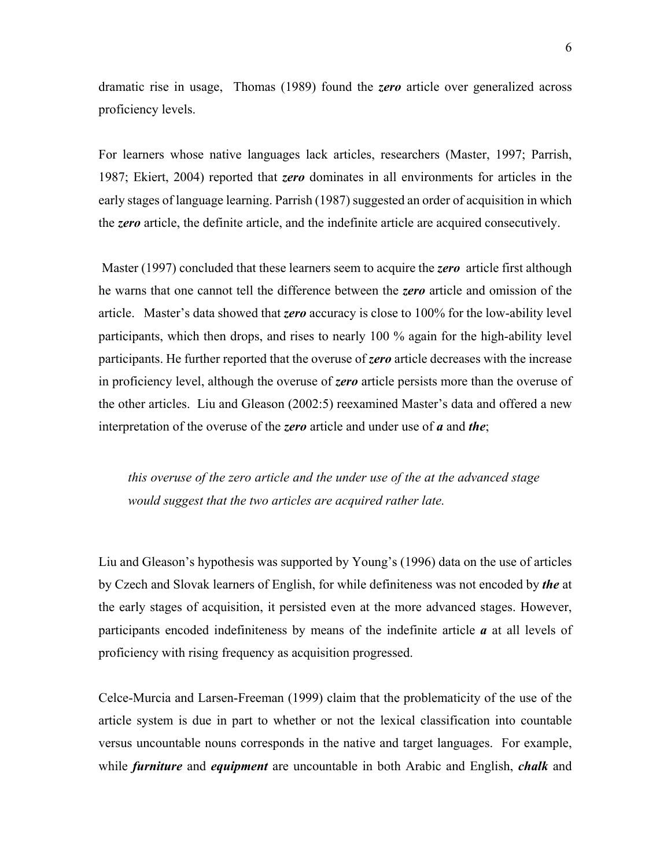dramatic rise in usage, Thomas (1989) found the *zero* article over generalized across proficiency levels.

For learners whose native languages lack articles, researchers (Master, 1997; Parrish, 1987; Ekiert, 2004) reported that *zero* dominates in all environments for articles in the early stages of language learning. Parrish (1987) suggested an order of acquisition in which the *zero* article, the definite article, and the indefinite article are acquired consecutively.

 Master (1997) concluded that these learners seem to acquire the *zero* article first although he warns that one cannot tell the difference between the *zero* article and omission of the article. Master's data showed that *zero* accuracy is close to 100% for the low-ability level participants, which then drops, and rises to nearly 100 % again for the high-ability level participants. He further reported that the overuse of *zero* article decreases with the increase in proficiency level, although the overuse of *zero* article persists more than the overuse of the other articles.Liu and Gleason (2002:5) reexamined Master's data and offered a new interpretation of the overuse of the *zero* article and under use of *a* and *the*;

*this overuse of the zero article and the under use of the at the advanced stage would suggest that the two articles are acquired rather late.* 

Liu and Gleason's hypothesis was supported by Young's (1996) data on the use of articles by Czech and Slovak learners of English, for while definiteness was not encoded by *the* at the early stages of acquisition, it persisted even at the more advanced stages. However, participants encoded indefiniteness by means of the indefinite article *a* at all levels of proficiency with rising frequency as acquisition progressed.

Celce-Murcia and Larsen-Freeman (1999) claim that the problematicity of the use of the article system is due in part to whether or not the lexical classification into countable versus uncountable nouns corresponds in the native and target languages. For example, while *furniture* and *equipment* are uncountable in both Arabic and English, *chalk* and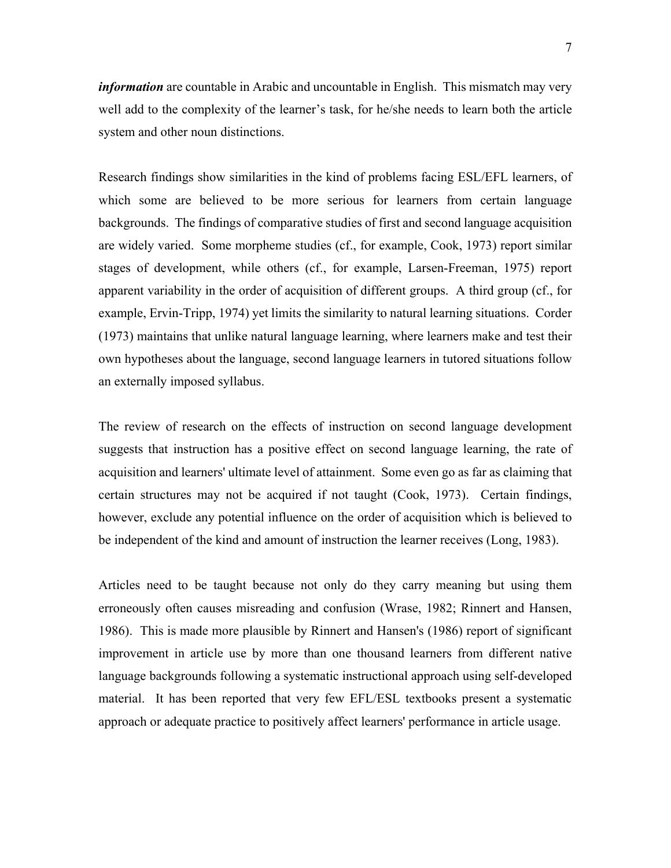*information* are countable in Arabic and uncountable in English. This mismatch may very well add to the complexity of the learner's task, for he/she needs to learn both the article system and other noun distinctions.

Research findings show similarities in the kind of problems facing ESL/EFL learners, of which some are believed to be more serious for learners from certain language backgrounds. The findings of comparative studies of first and second language acquisition are widely varied. Some morpheme studies (cf., for example, Cook, 1973) report similar stages of development, while others (cf., for example, Larsen-Freeman, 1975) report apparent variability in the order of acquisition of different groups. A third group (cf., for example, Ervin-Tripp, 1974) yet limits the similarity to natural learning situations. Corder (1973) maintains that unlike natural language learning, where learners make and test their own hypotheses about the language, second language learners in tutored situations follow an externally imposed syllabus.

The review of research on the effects of instruction on second language development suggests that instruction has a positive effect on second language learning, the rate of acquisition and learners' ultimate level of attainment. Some even go as far as claiming that certain structures may not be acquired if not taught (Cook, 1973). Certain findings, however, exclude any potential influence on the order of acquisition which is believed to be independent of the kind and amount of instruction the learner receives (Long, 1983).

Articles need to be taught because not only do they carry meaning but using them erroneously often causes misreading and confusion (Wrase, 1982; Rinnert and Hansen, 1986). This is made more plausible by Rinnert and Hansen's (1986) report of significant improvement in article use by more than one thousand learners from different native language backgrounds following a systematic instructional approach using self-developed material. It has been reported that very few EFL/ESL textbooks present a systematic approach or adequate practice to positively affect learners' performance in article usage.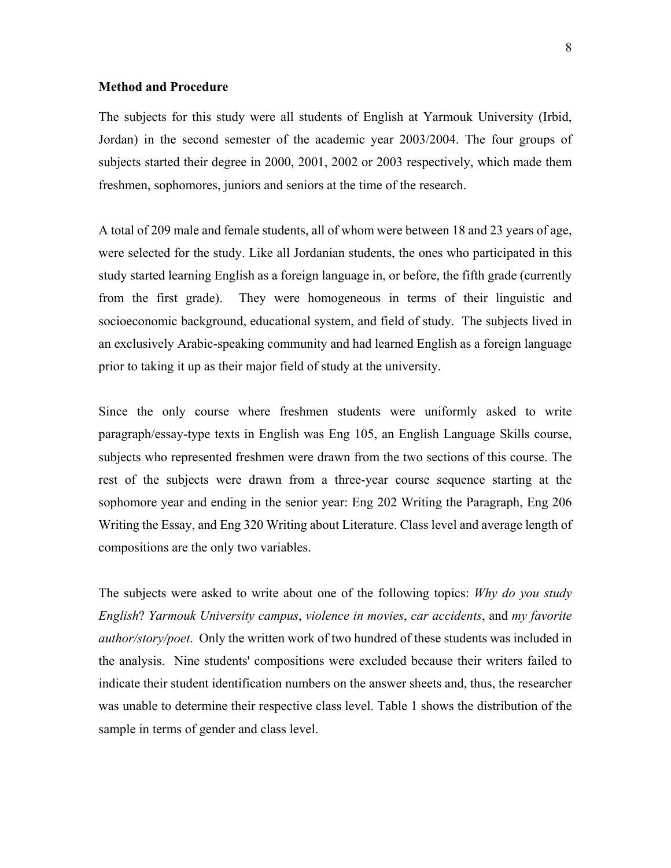#### **Method and Procedure**

The subjects for this study were all students of English at Yarmouk University (Irbid, Jordan) in the second semester of the academic year 2003/2004. The four groups of subjects started their degree in 2000, 2001, 2002 or 2003 respectively, which made them freshmen, sophomores, juniors and seniors at the time of the research.

A total of 209 male and female students, all of whom were between 18 and 23 years of age, were selected for the study. Like all Jordanian students, the ones who participated in this study started learning English as a foreign language in, or before, the fifth grade (currently from the first grade). They were homogeneous in terms of their linguistic and socioeconomic background, educational system, and field of study. The subjects lived in an exclusively Arabic-speaking community and had learned English as a foreign language prior to taking it up as their major field of study at the university.

Since the only course where freshmen students were uniformly asked to write paragraph/essay-type texts in English was Eng 105, an English Language Skills course, subjects who represented freshmen were drawn from the two sections of this course. The rest of the subjects were drawn from a three-year course sequence starting at the sophomore year and ending in the senior year: Eng 202 Writing the Paragraph, Eng 206 Writing the Essay, and Eng 320 Writing about Literature. Class level and average length of compositions are the only two variables.

The subjects were asked to write about one of the following topics: *Why do you study English*? *Yarmouk University campus*, *violence in movies*, *car accidents*, and *my favorite author/story/poet*. Only the written work of two hundred of these students was included in the analysis. Nine students' compositions were excluded because their writers failed to indicate their student identification numbers on the answer sheets and, thus, the researcher was unable to determine their respective class level. Table 1 shows the distribution of the sample in terms of gender and class level.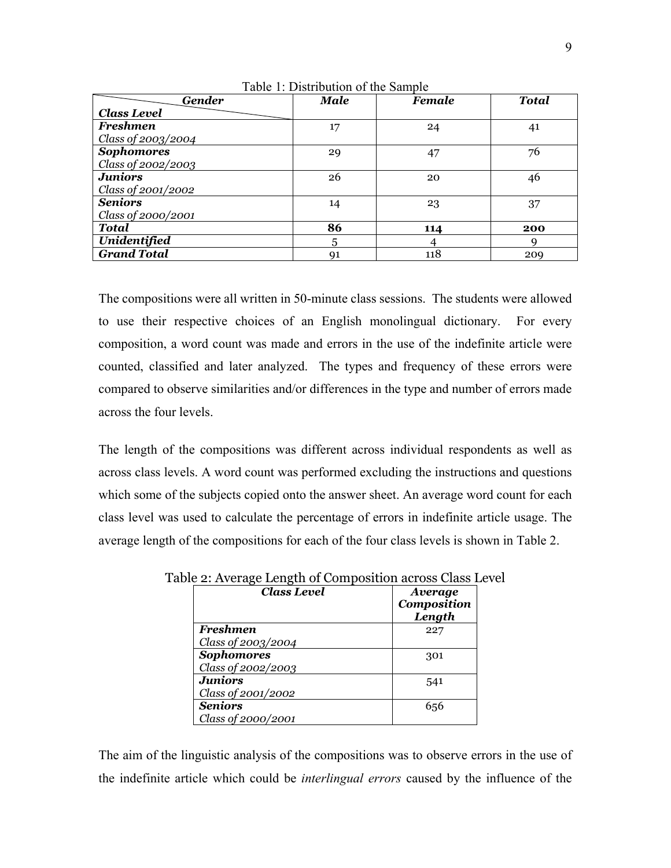| <b>Gender</b>      | Male | <b>Female</b> | <b>Total</b> |
|--------------------|------|---------------|--------------|
| <b>Class Level</b> |      |               |              |
| <b>Freshmen</b>    | 17   | 24            | 41           |
| Class of 2003/2004 |      |               |              |
| <b>Sophomores</b>  | 29   | 47            | 76           |
| Class of 2002/2003 |      |               |              |
| <b>Juniors</b>     | 26   | 20            | 46           |
| Class of 2001/2002 |      |               |              |
| <b>Seniors</b>     | 14   | 23            | 37           |
| Class of 2000/2001 |      |               |              |
| <b>Total</b>       | 86   | 114           | 200          |
| Unidentified       | 5    |               |              |
| <b>Grand Total</b> | 91   | 118           | 209          |

Table 1: Distribution of the Sample

The compositions were all written in 50-minute class sessions. The students were allowed to use their respective choices of an English monolingual dictionary. For every composition, a word count was made and errors in the use of the indefinite article were counted, classified and later analyzed. The types and frequency of these errors were compared to observe similarities and/or differences in the type and number of errors made across the four levels.

The length of the compositions was different across individual respondents as well as across class levels. A word count was performed excluding the instructions and questions which some of the subjects copied onto the answer sheet. An average word count for each class level was used to calculate the percentage of errors in indefinite article usage. The average length of the compositions for each of the four class levels is shown in Table 2.

| <b>Class Level</b> | Average<br>Composition<br>Length |
|--------------------|----------------------------------|
| <b>Freshmen</b>    | 227                              |
| Class of 2003/2004 |                                  |
| <b>Sophomores</b>  | 301                              |
| Class of 2002/2003 |                                  |
| <b>Juniors</b>     | 541                              |
| Class of 2001/2002 |                                  |
| <b>Seniors</b>     | 656                              |
| Class of 2000/2001 |                                  |

Table 2: Average Length of Composition across Class Level

The aim of the linguistic analysis of the compositions was to observe errors in the use of the indefinite article which could be *interlingual errors* caused by the influence of the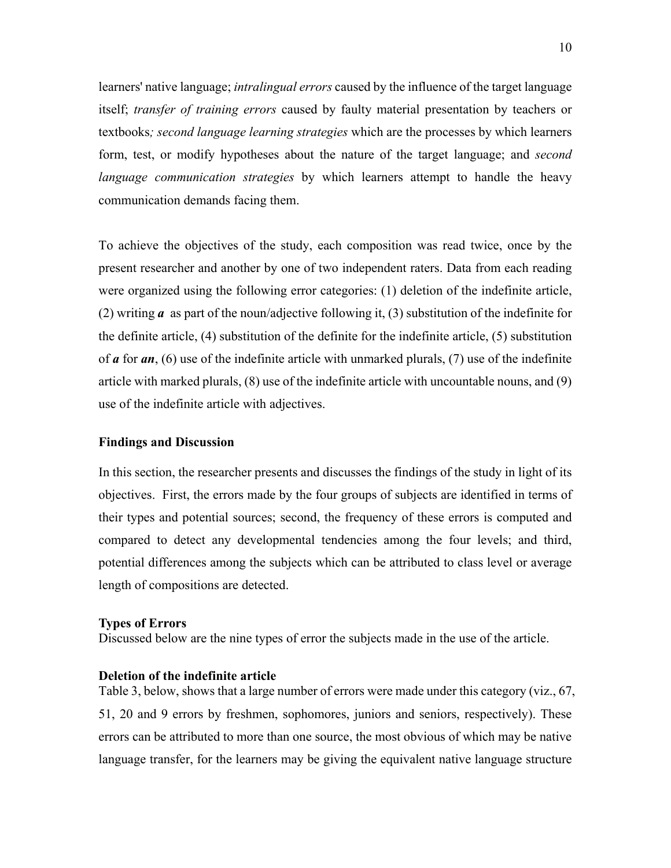learners' native language; *intralingual errors* caused by the influence of the target language itself; *transfer of training errors* caused by faulty material presentation by teachers or textbooks*; second language learning strategies* which are the processes by which learners form, test, or modify hypotheses about the nature of the target language; and *second language communication strategies* by which learners attempt to handle the heavy communication demands facing them.

To achieve the objectives of the study, each composition was read twice, once by the present researcher and another by one of two independent raters. Data from each reading were organized using the following error categories: (1) deletion of the indefinite article, (2) writing *a* as part of the noun/adjective following it, (3) substitution of the indefinite for the definite article, (4) substitution of the definite for the indefinite article, (5) substitution of *a* for *an*, (6) use of the indefinite article with unmarked plurals, (7) use of the indefinite article with marked plurals, (8) use of the indefinite article with uncountable nouns, and (9) use of the indefinite article with adjectives.

## **Findings and Discussion**

In this section, the researcher presents and discusses the findings of the study in light of its objectives. First, the errors made by the four groups of subjects are identified in terms of their types and potential sources; second, the frequency of these errors is computed and compared to detect any developmental tendencies among the four levels; and third, potential differences among the subjects which can be attributed to class level or average length of compositions are detected.

#### **Types of Errors**

Discussed below are the nine types of error the subjects made in the use of the article.

## **Deletion of the indefinite article**

Table 3, below, shows that a large number of errors were made under this category (viz., 67, 51, 20 and 9 errors by freshmen, sophomores, juniors and seniors, respectively). These errors can be attributed to more than one source, the most obvious of which may be native language transfer, for the learners may be giving the equivalent native language structure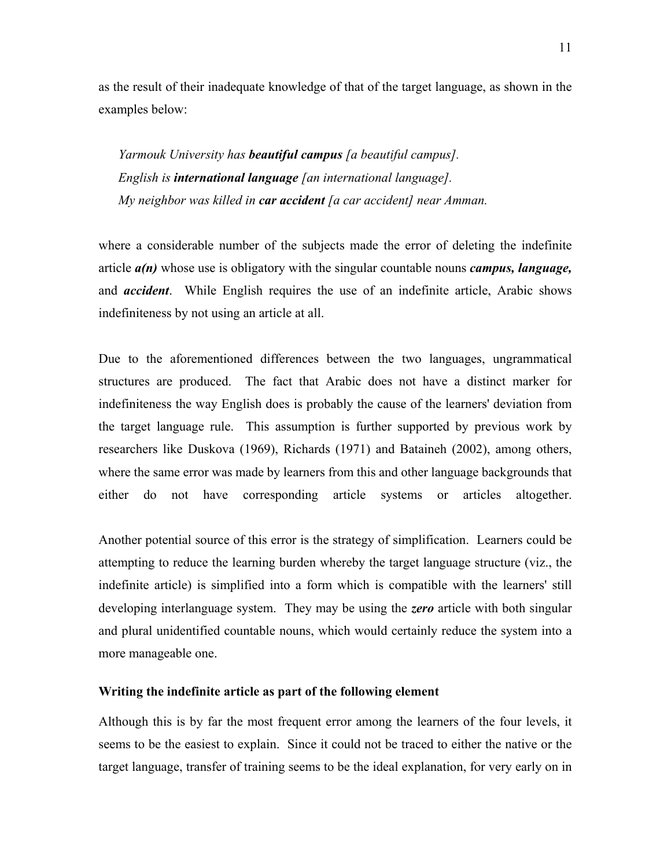as the result of their inadequate knowledge of that of the target language, as shown in the examples below:

*Yarmouk University has beautiful campus [a beautiful campus]. English is international language [an international language]. My neighbor was killed in car accident [a car accident] near Amman.* 

where a considerable number of the subjects made the error of deleting the indefinite article *a(n)* whose use is obligatory with the singular countable nouns *campus, language,*  and *accident*. While English requires the use of an indefinite article, Arabic shows indefiniteness by not using an article at all.

Due to the aforementioned differences between the two languages, ungrammatical structures are produced. The fact that Arabic does not have a distinct marker for indefiniteness the way English does is probably the cause of the learners' deviation from the target language rule. This assumption is further supported by previous work by researchers like Duskova (1969), Richards (1971) and Bataineh (2002), among others, where the same error was made by learners from this and other language backgrounds that either do not have corresponding article systems or articles altogether.

Another potential source of this error is the strategy of simplification. Learners could be attempting to reduce the learning burden whereby the target language structure (viz., the indefinite article) is simplified into a form which is compatible with the learners' still developing interlanguage system. They may be using the *zero* article with both singular and plural unidentified countable nouns, which would certainly reduce the system into a more manageable one.

#### **Writing the indefinite article as part of the following element**

Although this is by far the most frequent error among the learners of the four levels, it seems to be the easiest to explain. Since it could not be traced to either the native or the target language, transfer of training seems to be the ideal explanation, for very early on in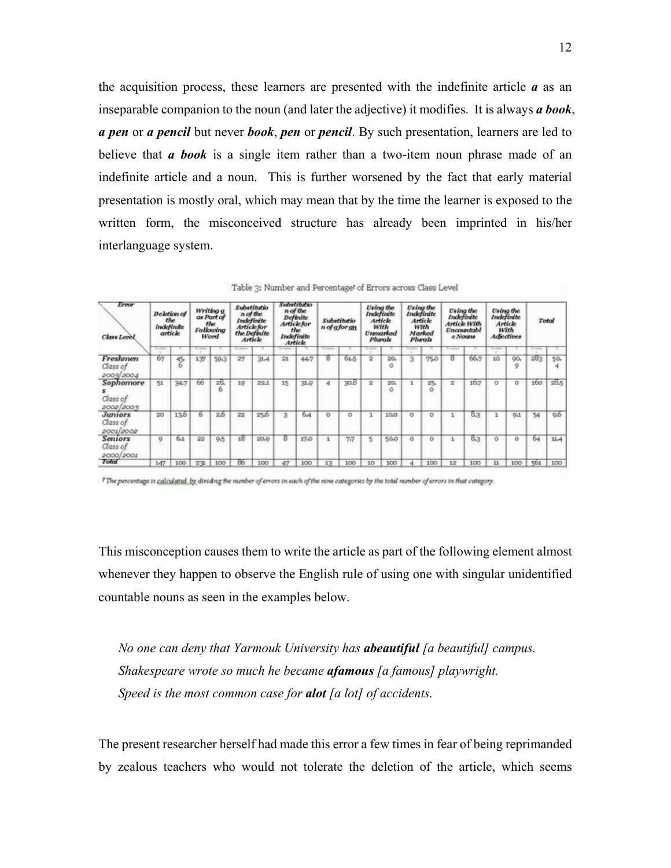the acquisition process, these learners are presented with the indefinite article *a* as an inseparable companion to the noun (and later the adjective) it modifies. It is always *a book*, *a pen* or *a pencil* but never *book*, *pen* or *pencil*. By such presentation, learners are led to believe that *a book* is a single item rather than a two-item noun phrase made of an indefinite article and a noun. This is further worsened by the fact that early material presentation is mostly oral, which may mean that by the time the learner is exposed to the written form, the misconceived structure has already been imprinted in his/her interlanguage system.

| Error<br><b>Class Level</b>             | <b>Deletion</b> of<br>the<br><b>indefinite</b><br>article |             | Writing a<br>as Part of<br>the<br>Following<br>Word |        | Substitutio<br>n of the<br>Indefinite<br>Article for<br>the Definite<br>Article |      | Substitutio<br>n of the<br>Definite<br><b>Article for</b><br>the<br>Indefinite<br>Article |      | Substitutio<br>n of a for an |      | <b>Using the</b><br><b>Indefinite</b><br>Article<br>with<br>Unmanked<br>Phanik |                 | <b>Using the</b><br>Indefinite<br>Article<br>With<br>Marked<br>Phrak |          | <b>Using the</b><br>Indefinite<br>Article With<br>Uncountabl<br>c Nouns |      | <b>Using the</b><br>Indefinite<br>Article<br>with<br><b>Adjectives</b> |          | Total |      |
|-----------------------------------------|-----------------------------------------------------------|-------------|-----------------------------------------------------|--------|---------------------------------------------------------------------------------|------|-------------------------------------------------------------------------------------------|------|------------------------------|------|--------------------------------------------------------------------------------|-----------------|----------------------------------------------------------------------|----------|-------------------------------------------------------------------------|------|------------------------------------------------------------------------|----------|-------|------|
|                                         | <b>Service</b>                                            |             |                                                     |        | <b>Contract</b>                                                                 |      |                                                                                           |      | <b>Scientists</b>            |      | ---                                                                            |                 | <b>Service</b>                                                       |          |                                                                         |      |                                                                        |          |       |      |
| Freshmen<br>Class of<br>2009/2004       | 67                                                        | $45 -$<br>ь | 137                                                 | 59.3   | 27                                                                              | 31.4 | 21                                                                                        | 44.7 | 8                            | 61.5 | $\overline{\mathbf{2}}$                                                        | 20,<br>ō        | з                                                                    | 75.0     | 8                                                                       | 66.7 | 10                                                                     | QO,<br>9 | 283   | 50.  |
| Sophomore<br>Class of<br>2002/2003      | 51                                                        | 34.7        | 66                                                  | 丞<br>ь | 19                                                                              | 22.1 | 15                                                                                        | 31.9 | 4                            | 30B  | 2                                                                              | 20,<br>٥        |                                                                      | 25.<br>o | 2                                                                       | 16.7 | o                                                                      | o        | 160   | 255  |
| <b>Juniors</b><br>Class of<br>2001/2002 | 20                                                        | 13.6        | ь                                                   | $25 -$ | 22                                                                              | 25.6 | з                                                                                         | 64   | o                            | o    | $\mathbf{1}$                                                                   | 10 <sub>0</sub> | o                                                                    | o        | 1                                                                       | 83   | 1                                                                      | 9.1      | 54    | 95   |
| <b>Sentors</b><br>Class of<br>2000/2001 | ۰                                                         | 6.1         | 22                                                  | 9.5    | 18                                                                              | 20.9 | 8                                                                                         | 17.0 |                              | 7.7  | 5                                                                              | 50.0            | ũ                                                                    | Ď        |                                                                         | 83   | ŭ                                                                      | o        | 64    | 11.4 |
| Total                                   | 147                                                       | 100         | 231                                                 | 100    | 86                                                                              | 100  | 47                                                                                        | 100  | 13                           | 100  | 10                                                                             | 100             |                                                                      | 100      | 12                                                                      | 100  | 11                                                                     | 100      | 551   | 100  |

|  | Table 3: Number and Percentage! of Errors across Class Level |  |  |  |
|--|--------------------------------------------------------------|--|--|--|
|  |                                                              |  |  |  |

<sup>†</sup> The percentage is calculated by dividing the number of errors in each of the nine categories by the total number of errors in that category.

This misconception causes them to write the article as part of the following element almost whenever they happen to observe the English rule of using one with singular unidentified countable nouns as seen in the examples below.

*No one can deny that Yarmouk University has abeautiful [a beautiful] campus. Shakespeare wrote so much he became afamous [a famous] playwright. Speed is the most common case for alot [a lot] of accidents.* 

The present researcher herself had made this error a few times in fear of being reprimanded by zealous teachers who would not tolerate the deletion of the article, which seems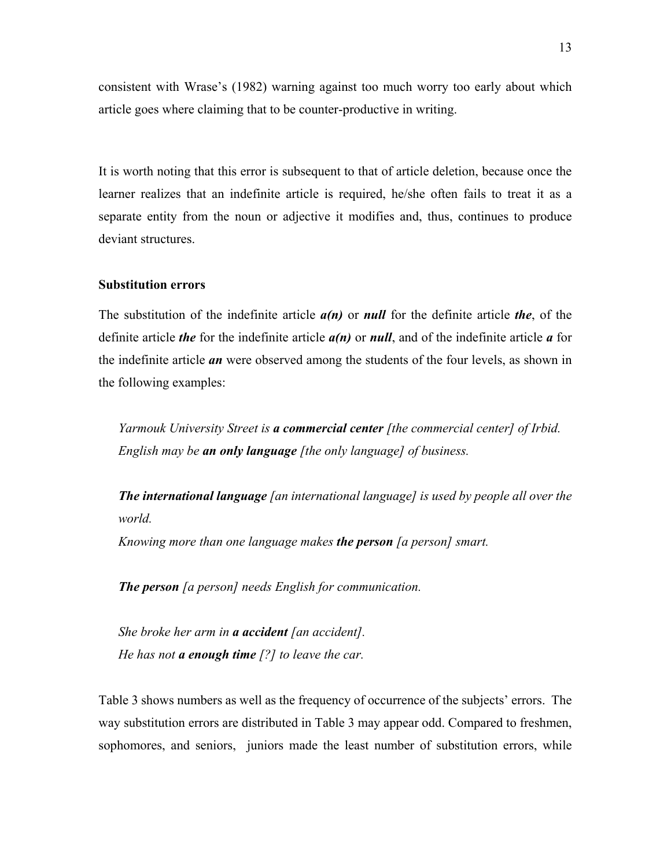consistent with Wrase's (1982) warning against too much worry too early about which article goes where claiming that to be counter-productive in writing.

It is worth noting that this error is subsequent to that of article deletion, because once the learner realizes that an indefinite article is required, he/she often fails to treat it as a separate entity from the noun or adjective it modifies and, thus, continues to produce deviant structures.

# **Substitution errors**

The substitution of the indefinite article *a(n)* or *null* for the definite article *the*, of the definite article *the* for the indefinite article *a(n)* or *null*, and of the indefinite article *a* for the indefinite article *an* were observed among the students of the four levels, as shown in the following examples:

*Yarmouk University Street is a commercial center [the commercial center] of Irbid. English may be an only language [the only language] of business.* 

*The international language [an international language] is used by people all over the world.* 

*Knowing more than one language makes the person [a person] smart.* 

*The person [a person] needs English for communication.* 

*She broke her arm in a accident [an accident]. He has not a enough time [?] to leave the car.* 

Table 3 shows numbers as well as the frequency of occurrence of the subjects' errors. The way substitution errors are distributed in Table 3 may appear odd. Compared to freshmen, sophomores, and seniors, juniors made the least number of substitution errors, while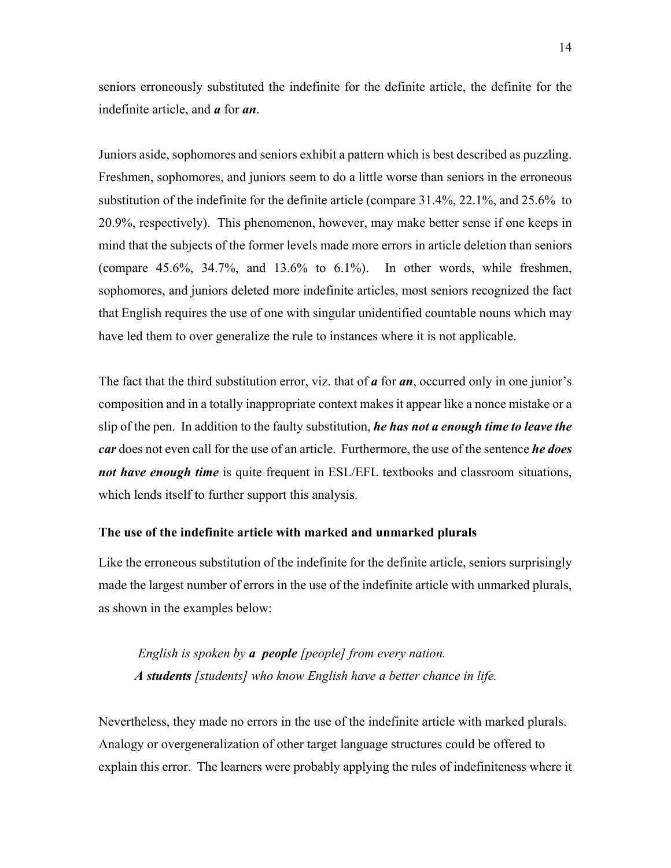seniors erroneously substituted the indefinite for the definite article, the definite for the indefinite article, and *a* for *an*.

Juniors aside, sophomores and seniors exhibit a pattern which is best described as puzzling. Freshmen, sophomores, and juniors seem to do a little worse than seniors in the erroneous substitution of the indefinite for the definite article (compare 31.4%, 22.1%, and 25.6% to 20.9%, respectively). This phenomenon, however, may make better sense if one keeps in mind that the subjects of the former levels made more errors in article deletion than seniors (compare  $45.6\%$ ,  $34.7\%$ , and  $13.6\%$  to  $6.1\%$ ). In other words, while freshmen, sophomores, and juniors deleted more indefinite articles, most seniors recognized the fact that English requires the use of one with singular unidentified countable nouns which may have led them to over generalize the rule to instances where it is not applicable.

The fact that the third substitution error, viz. that of *a* for *an*, occurred only in one junior's composition and in a totally inappropriate context makes it appear like a nonce mistake or a slip of the pen. In addition to the faulty substitution, *he has not a enough time to leave the car* does not even call for the use of an article. Furthermore, the use of the sentence *he does not have enough time* is quite frequent in ESL/EFL textbooks and classroom situations, which lends itself to further support this analysis.

### **The use of the indefinite article with marked and unmarked plurals**

Like the erroneous substitution of the indefinite for the definite article, seniors surprisingly made the largest number of errors in the use of the indefinite article with unmarked plurals, as shown in the examples below:

*English is spoken by a people [people] from every nation. A students [students] who know English have a better chance in life.* 

Nevertheless, they made no errors in the use of the indefinite article with marked plurals. Analogy or overgeneralization of other target language structures could be offered to explain this error. The learners were probably applying the rules of indefiniteness where it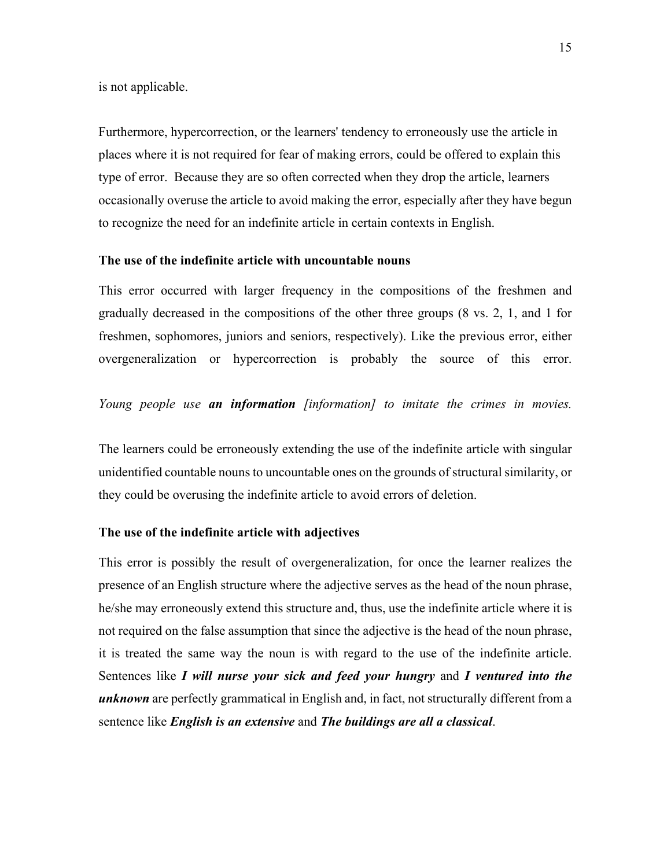is not applicable.

Furthermore, hypercorrection, or the learners' tendency to erroneously use the article in places where it is not required for fear of making errors, could be offered to explain this type of error. Because they are so often corrected when they drop the article, learners occasionally overuse the article to avoid making the error, especially after they have begun to recognize the need for an indefinite article in certain contexts in English.

# **The use of the indefinite article with uncountable nouns**

This error occurred with larger frequency in the compositions of the freshmen and gradually decreased in the compositions of the other three groups (8 vs. 2, 1, and 1 for freshmen, sophomores, juniors and seniors, respectively). Like the previous error, either overgeneralization or hypercorrection is probably the source of this error.

# *Young people use an information [information] to imitate the crimes in movies.*

The learners could be erroneously extending the use of the indefinite article with singular unidentified countable nouns to uncountable ones on the grounds of structural similarity, or they could be overusing the indefinite article to avoid errors of deletion.

### **The use of the indefinite article with adjectives**

This error is possibly the result of overgeneralization, for once the learner realizes the presence of an English structure where the adjective serves as the head of the noun phrase, he/she may erroneously extend this structure and, thus, use the indefinite article where it is not required on the false assumption that since the adjective is the head of the noun phrase, it is treated the same way the noun is with regard to the use of the indefinite article. Sentences like *I will nurse your sick and feed your hungry* and *I ventured into the unknown* are perfectly grammatical in English and, in fact, not structurally different from a sentence like *English is an extensive* and *The buildings are all a classical*.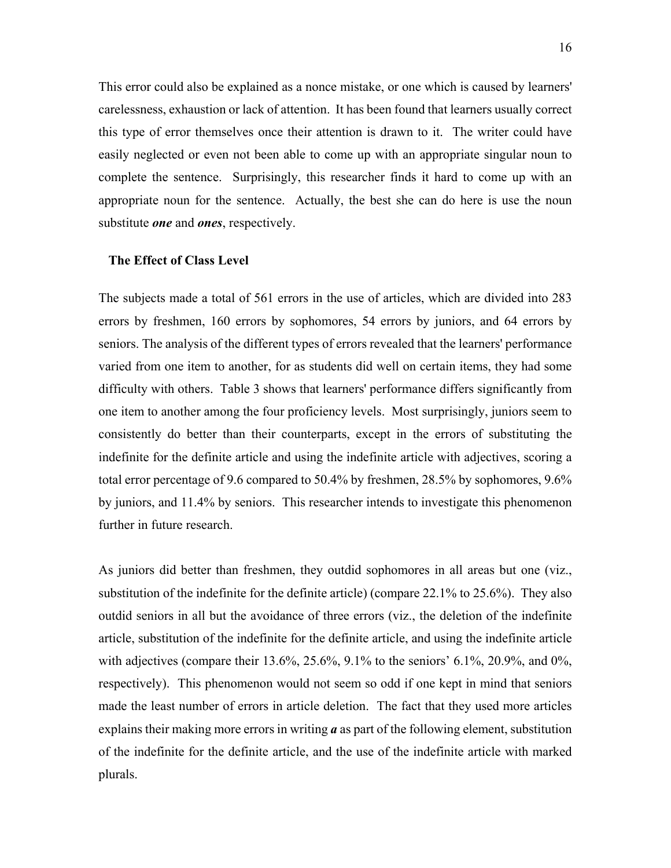This error could also be explained as a nonce mistake, or one which is caused by learners' carelessness, exhaustion or lack of attention. It has been found that learners usually correct this type of error themselves once their attention is drawn to it. The writer could have easily neglected or even not been able to come up with an appropriate singular noun to complete the sentence. Surprisingly, this researcher finds it hard to come up with an appropriate noun for the sentence. Actually, the best she can do here is use the noun substitute *one* and *ones*, respectively.

#### **The Effect of Class Level**

The subjects made a total of 561 errors in the use of articles, which are divided into 283 errors by freshmen, 160 errors by sophomores, 54 errors by juniors, and 64 errors by seniors. The analysis of the different types of errors revealed that the learners' performance varied from one item to another, for as students did well on certain items, they had some difficulty with others. Table 3 shows that learners' performance differs significantly from one item to another among the four proficiency levels. Most surprisingly, juniors seem to consistently do better than their counterparts, except in the errors of substituting the indefinite for the definite article and using the indefinite article with adjectives, scoring a total error percentage of 9.6 compared to 50.4% by freshmen, 28.5% by sophomores, 9.6% by juniors, and 11.4% by seniors. This researcher intends to investigate this phenomenon further in future research.

As juniors did better than freshmen, they outdid sophomores in all areas but one (viz., substitution of the indefinite for the definite article) (compare 22.1% to 25.6%). They also outdid seniors in all but the avoidance of three errors (viz., the deletion of the indefinite article, substitution of the indefinite for the definite article, and using the indefinite article with adjectives (compare their 13.6%, 25.6%, 9.1% to the seniors' 6.1%, 20.9%, and 0%, respectively). This phenomenon would not seem so odd if one kept in mind that seniors made the least number of errors in article deletion. The fact that they used more articles explains their making more errors in writing *a* as part of the following element, substitution of the indefinite for the definite article, and the use of the indefinite article with marked plurals.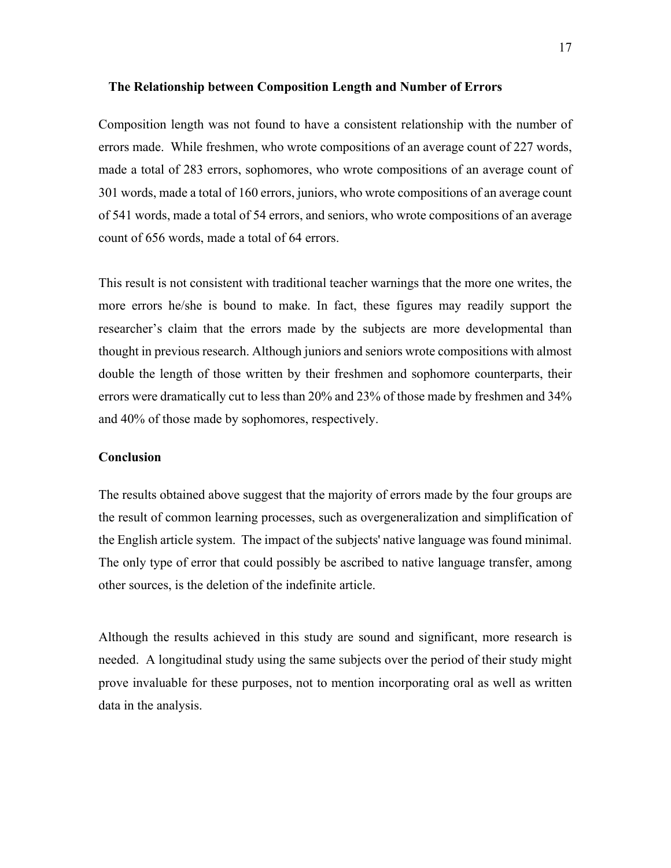#### **The Relationship between Composition Length and Number of Errors**

Composition length was not found to have a consistent relationship with the number of errors made. While freshmen, who wrote compositions of an average count of 227 words, made a total of 283 errors, sophomores, who wrote compositions of an average count of 301 words, made a total of 160 errors, juniors, who wrote compositions of an average count of 541 words, made a total of 54 errors, and seniors, who wrote compositions of an average count of 656 words, made a total of 64 errors.

This result is not consistent with traditional teacher warnings that the more one writes, the more errors he/she is bound to make. In fact, these figures may readily support the researcher's claim that the errors made by the subjects are more developmental than thought in previous research. Although juniors and seniors wrote compositions with almost double the length of those written by their freshmen and sophomore counterparts, their errors were dramatically cut to less than 20% and 23% of those made by freshmen and 34% and 40% of those made by sophomores, respectively.

#### **Conclusion**

The results obtained above suggest that the majority of errors made by the four groups are the result of common learning processes, such as overgeneralization and simplification of the English article system. The impact of the subjects' native language was found minimal. The only type of error that could possibly be ascribed to native language transfer, among other sources, is the deletion of the indefinite article.

Although the results achieved in this study are sound and significant, more research is needed. A longitudinal study using the same subjects over the period of their study might prove invaluable for these purposes, not to mention incorporating oral as well as written data in the analysis.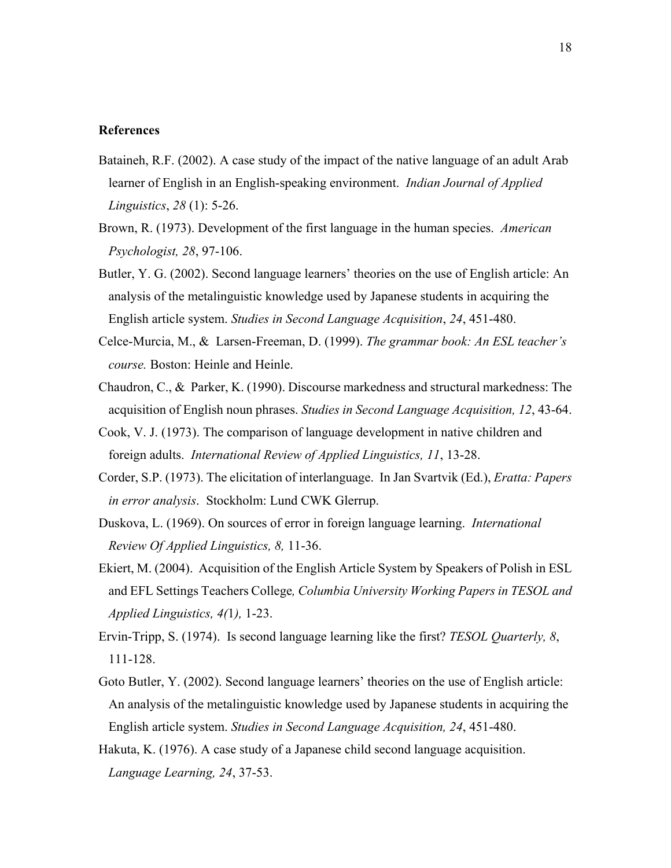#### **References**

- Bataineh, R.F. (2002). A case study of the impact of the native language of an adult Arab learner of English in an English-speaking environment. *Indian Journal of Applied Linguistics*, *28* (1): 5-26.
- Brown, R. (1973). Development of the first language in the human species. *American Psychologist, 28*, 97-106.
- Butler, Y. G. (2002). Second language learners' theories on the use of English article: An analysis of the metalinguistic knowledge used by Japanese students in acquiring the English article system. *Studies in Second Language Acquisition*, *24*, 451-480.
- Celce-Murcia, M., & Larsen-Freeman, D. (1999). *The grammar book: An ESL teacher's course.* Boston: Heinle and Heinle.
- Chaudron, C., & Parker, K. (1990). Discourse markedness and structural markedness: The acquisition of English noun phrases. *Studies in Second Language Acquisition, 12*, 43-64.
- Cook, V. J. (1973). The comparison of language development in native children and foreign adults. *International Review of Applied Linguistics, 11*, 13-28.
- Corder, S.P. (1973). The elicitation of interlanguage. In Jan Svartvik (Ed.), *Eratta: Papers in error analysis*. Stockholm: Lund CWK Glerrup.
- Duskova, L. (1969). On sources of error in foreign language learning. *International Review Of Applied Linguistics, 8,* 11-36.
- Ekiert, M. (2004). Acquisition of the English Article System by Speakers of Polish in ESL and EFL Settings Teachers College*, Columbia University Working Papers in TESOL and Applied Linguistics, 4(*1*),* 1-23.
- Ervin-Tripp, S. (1974). Is second language learning like the first? *TESOL Quarterly, 8*, 111-128.
- Goto Butler, Y. (2002). Second language learners' theories on the use of English article: An analysis of the metalinguistic knowledge used by Japanese students in acquiring the English article system. *Studies in Second Language Acquisition, 24*, 451-480.
- Hakuta, K. (1976). A case study of a Japanese child second language acquisition. *Language Learning, 24*, 37-53.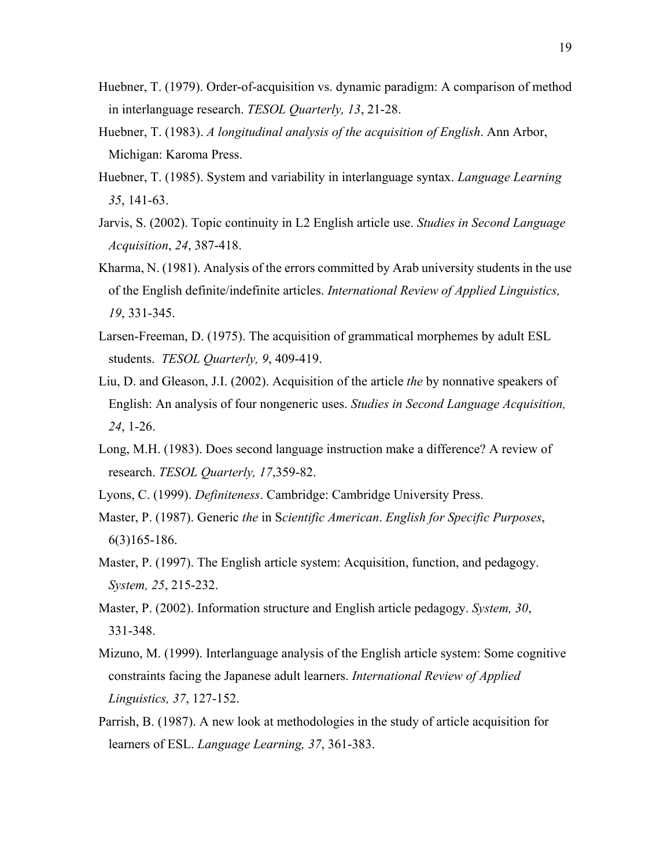- Huebner, T. (1979). Order-of-acquisition vs. dynamic paradigm: A comparison of method in interlanguage research. *TESOL Quarterly, 13*, 21-28.
- Huebner, T. (1983). *A longitudinal analysis of the acquisition of English*. Ann Arbor, Michigan: Karoma Press.
- Huebner, T. (1985). System and variability in interlanguage syntax. *Language Learning 35*, 141-63.
- Jarvis, S. (2002). Topic continuity in L2 English article use. *Studies in Second Language Acquisition*, *24*, 387-418.
- Kharma, N. (1981). Analysis of the errors committed by Arab university students in the use of the English definite/indefinite articles. *International Review of Applied Linguistics, 19*, 331-345.
- Larsen-Freeman, D. (1975). The acquisition of grammatical morphemes by adult ESL students. *TESOL Quarterly, 9*, 409-419.
- Liu, D. and Gleason, J.I. (2002). Acquisition of the article *the* by nonnative speakers of English: An analysis of four nongeneric uses. *Studies in Second Language Acquisition, 24*, 1-26.
- Long, M.H. (1983). Does second language instruction make a difference? A review of research. *TESOL Quarterly, 17*,359-82.
- Lyons, C. (1999). *Definiteness*. Cambridge: Cambridge University Press.
- Master, P. (1987). Generic *the* in S*cientific American*. *English for Specific Purposes*, 6(3)165-186.
- Master, P. (1997). The English article system: Acquisition, function, and pedagogy. *System, 25*, 215-232.
- Master, P. (2002). Information structure and English article pedagogy. *System, 30*, 331-348.
- Mizuno, M. (1999). Interlanguage analysis of the English article system: Some cognitive constraints facing the Japanese adult learners. *International Review of Applied Linguistics, 37*, 127-152.
- Parrish, B. (1987). A new look at methodologies in the study of article acquisition for learners of ESL. *Language Learning, 37*, 361-383.